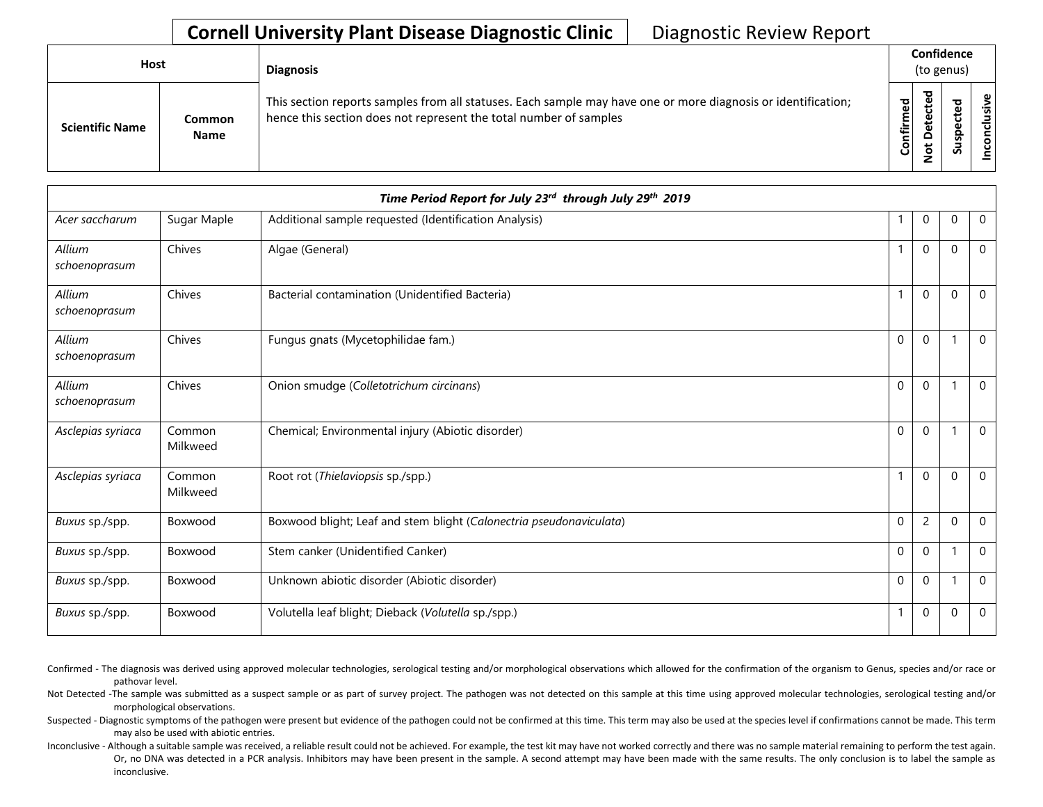## **Cornell University Plant Disease Diagnostic Clinic | Diagnostic Review Report**

| <b>Host</b> |                        |                              | <b>Diagnosis</b>                                                                                                                                                                   |                        | Confidence<br>(to genus) |   |                |  |  |
|-------------|------------------------|------------------------------|------------------------------------------------------------------------------------------------------------------------------------------------------------------------------------|------------------------|--------------------------|---|----------------|--|--|
|             | <b>Scientific Name</b> | <b>Common</b><br><b>Name</b> | This section reports samples from all statuses. Each sample may have one or more diagnosis or identification;<br>hence this section does not represent the total number of samples | ිල<br>ම<br>nfirm<br>ပြ | ᇴ                        | S | clusive<br>con |  |  |

|                         |                    | Time Period Report for July 23 <sup>rd</sup> through July 29 <sup>th</sup> 2019 |              |                |              |                |
|-------------------------|--------------------|---------------------------------------------------------------------------------|--------------|----------------|--------------|----------------|
| Acer saccharum          | Sugar Maple        | Additional sample requested (Identification Analysis)                           |              | 0              | $\Omega$     | $\mathbf 0$    |
| Allium<br>schoenoprasum | Chives             | Algae (General)                                                                 | 1            | $\mathbf 0$    | $\mathbf{0}$ | $\Omega$       |
| Allium<br>schoenoprasum | Chives             | Bacterial contamination (Unidentified Bacteria)                                 | $\mathbf{1}$ | $\mathbf{0}$   | $\Omega$     | $\Omega$       |
| Allium<br>schoenoprasum | Chives             | Fungus gnats (Mycetophilidae fam.)                                              | $\mathbf{0}$ | $\mathbf{0}$   | -1           | $\Omega$       |
| Allium<br>schoenoprasum | Chives             | Onion smudge (Colletotrichum circinans)                                         | $\mathbf 0$  | $\mathbf 0$    |              | $\mathbf 0$    |
| Asclepias syriaca       | Common<br>Milkweed | Chemical; Environmental injury (Abiotic disorder)                               | $\mathbf 0$  | $\mathbf 0$    |              | $\Omega$       |
| Asclepias syriaca       | Common<br>Milkweed | Root rot (Thielaviopsis sp./spp.)                                               | $\mathbf{1}$ | $\mathbf 0$    | $\Omega$     | $\overline{0}$ |
| Buxus sp./spp.          | Boxwood            | Boxwood blight; Leaf and stem blight (Calonectria pseudonaviculata)             | $\mathbf{0}$ | $\overline{c}$ | $\mathbf{0}$ | $\mathbf 0$    |
| Buxus sp./spp.          | Boxwood            | Stem canker (Unidentified Canker)                                               | $\mathbf 0$  | $\mathbf 0$    |              | $\Omega$       |
| Buxus sp./spp.          | Boxwood            | Unknown abiotic disorder (Abiotic disorder)                                     | $\mathbf{0}$ | $\mathbf{0}$   |              | $\Omega$       |
| Buxus sp./spp.          | Boxwood            | Volutella leaf blight; Dieback (Volutella sp./spp.)                             | 1            | $\mathbf 0$    | $\mathbf 0$  | $\mathbf 0$    |

Confirmed - The diagnosis was derived using approved molecular technologies, serological testing and/or morphological observations which allowed for the confirmation of the organism to Genus, species and/or race or pathovar level.

Not Detected -The sample was submitted as a suspect sample or as part of survey project. The pathogen was not detected on this sample at this time using approved molecular technologies, serological testing and/or morphological observations.

Suspected - Diagnostic symptoms of the pathogen were present but evidence of the pathogen could not be confirmed at this time. This term may also be used at the species level if confirmations cannot be made. This term may also be used with abiotic entries.

Or, no DNA was detected in a PCR analysis. Inhibitors may have been present in the sample. A second attempt may have been made with the same results. The only conclusion is to label the sample as Inconclusive - Although a suitable sample was received, a reliable result could not be achieved. For example, the test kit may have not worked correctly and there was no sample material remaining to perform the test again. inconclusive.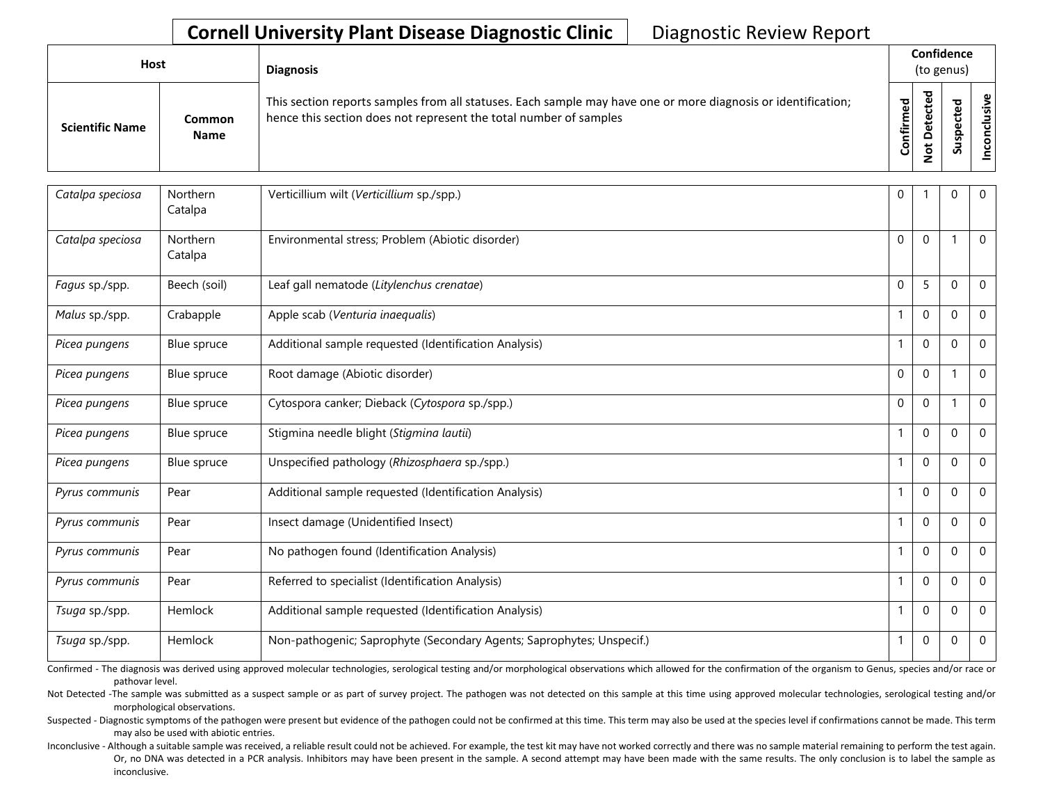## **Cornell University Plant Disease Diagnostic Clinic | Diagnostic Review Report**

| Host                   |                       | <b>Diagnosis</b>                                                                                                                                                                   |                                  |   | Confidence<br>(to genus) |                                         |
|------------------------|-----------------------|------------------------------------------------------------------------------------------------------------------------------------------------------------------------------------|----------------------------------|---|--------------------------|-----------------------------------------|
| <b>Scientific Name</b> | Common<br><b>Name</b> | This section reports samples from all statuses. Each sample may have one or more diagnosis or identification;<br>hence this section does not represent the total number of samples | ਠ<br>$\mathbf{Q}$<br>nfirm<br>ပိ | ω | ω<br>s                   | $\mathbf{\omega}$<br>'ল<br>$\circ$<br>ں |

| Catalpa speciosa | Northern<br>Catalpa | Verticillium wilt (Verticillium sp./spp.)                             | $\mathbf 0$  |              | $\Omega$     | $\overline{0}$ |
|------------------|---------------------|-----------------------------------------------------------------------|--------------|--------------|--------------|----------------|
| Catalpa speciosa | Northern<br>Catalpa | Environmental stress; Problem (Abiotic disorder)                      | $\Omega$     | $\mathbf{0}$ |              | $\Omega$       |
| Fagus sp./spp.   | Beech (soil)        | Leaf gall nematode (Litylenchus crenatae)                             | $\Omega$     | 5            | $\Omega$     | $\Omega$       |
| Malus sp./spp.   | Crabapple           | Apple scab (Venturia inaequalis)                                      | 1            | $\mathbf 0$  | $\Omega$     | $\Omega$       |
| Picea pungens    | Blue spruce         | Additional sample requested (Identification Analysis)                 | $\mathbf{1}$ | $\mathbf 0$  | $\mathbf{0}$ | $\mathbf 0$    |
| Picea pungens    | Blue spruce         | Root damage (Abiotic disorder)                                        | $\Omega$     | $\mathbf{0}$ |              | $\Omega$       |
| Picea pungens    | Blue spruce         | Cytospora canker; Dieback (Cytospora sp./spp.)                        | $\mathbf 0$  | $\mathbf 0$  |              | $\Omega$       |
| Picea pungens    | Blue spruce         | Stigmina needle blight (Stigmina lautii)                              | $\mathbf{1}$ | $\mathbf 0$  | $\mathbf{0}$ | $\mathbf 0$    |
| Picea pungens    | Blue spruce         | Unspecified pathology (Rhizosphaera sp./spp.)                         | 1            | $\Omega$     | $\Omega$     | $\Omega$       |
| Pyrus communis   | Pear                | Additional sample requested (Identification Analysis)                 |              | $\mathbf 0$  | $\Omega$     | $\Omega$       |
| Pyrus communis   | Pear                | Insect damage (Unidentified Insect)                                   | $\mathbf{1}$ | $\mathbf 0$  | $\mathbf{0}$ | $\mathbf 0$    |
| Pyrus communis   | Pear                | No pathogen found (Identification Analysis)                           |              | $\mathbf{0}$ | $\Omega$     | $\Omega$       |
| Pyrus communis   | Pear                | Referred to specialist (Identification Analysis)                      | $\mathbf{1}$ | $\mathbf 0$  | $\mathbf{0}$ | $\Omega$       |
| Tsuga sp./spp.   | Hemlock             | Additional sample requested (Identification Analysis)                 | $\mathbf{1}$ | $\mathbf{0}$ | $\Omega$     | $\mathbf 0$    |
| Tsuga sp./spp.   | Hemlock             | Non-pathogenic; Saprophyte (Secondary Agents; Saprophytes; Unspecif.) | 1            | $\mathbf 0$  | 0            | $\Omega$       |

Confirmed - The diagnosis was derived using approved molecular technologies, serological testing and/or morphological observations which allowed for the confirmation of the organism to Genus, species and/or race or pathovar level.

Not Detected -The sample was submitted as a suspect sample or as part of survey project. The pathogen was not detected on this sample at this time using approved molecular technologies, serological testing and/or morphological observations.

Suspected - Diagnostic symptoms of the pathogen were present but evidence of the pathogen could not be confirmed at this time. This term may also be used at the species level if confirmations cannot be made. This term may also be used with abiotic entries.

Or, no DNA was detected in a PCR analysis. Inhibitors may have been present in the sample. A second attempt may have been made with the same results. The only conclusion is to label the sample as Inconclusive - Although a suitable sample was received, a reliable result could not be achieved. For example, the test kit may have not worked correctly and there was no sample material remaining to perform the test again. inconclusive.